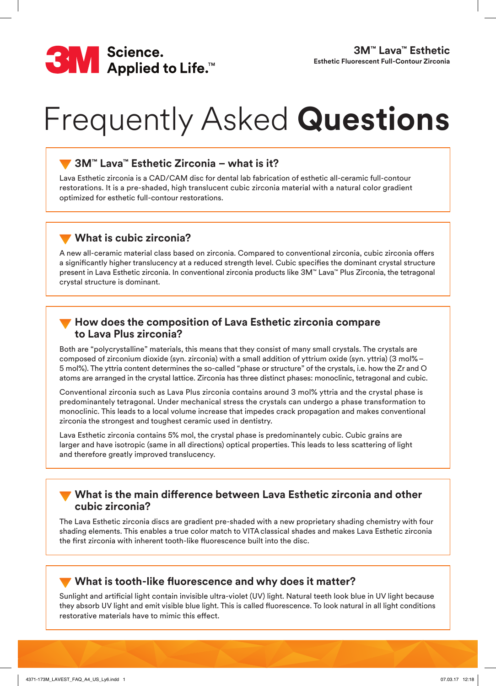

# Frequently Asked **Questions**

## **3M™ Lava™ Esthetic Zirconia – what is it?**

Lava Esthetic zirconia is a CAD/CAM disc for dental lab fabrication of esthetic all-ceramic full-contour restorations. It is a pre-shaded, high translucent cubic zirconia material with a natural color gradient optimized for esthetic full-contour restorations.

## **What is cubic zirconia?**

A new all-ceramic material class based on zirconia. Compared to conventional zirconia, cubic zirconia offers a significantly higher translucency at a reduced strength level. Cubic specifies the dominant crystal structure present in Lava Esthetic zirconia. In conventional zirconia products like 3M™ Lava™ Plus Zirconia, the tetragonal crystal structure is dominant.

## **How does the composition of Lava Esthetic zirconia compare to Lava Plus zirconia?**

Both are "polycrystalline" materials, this means that they consist of many small crystals. The crystals are composed of zirconium dioxide (syn. zirconia) with a small addition of yttrium oxide (syn. yttria) (3 mol%– 5 mol%). The yttria content determines the so-called "phase or structure" of the crystals, i.e. how the Zr and O atoms are arranged in the crystal lattice. Zirconia has three distinct phases: monoclinic, tetragonal and cubic.

Conventional zirconia such as Lava Plus zirconia contains around 3 mol% yttria and the crystal phase is predominantely tetragonal. Under mechanical stress the crystals can undergo a phase transformation to monoclinic. This leads to a local volume increase that impedes crack propagation and makes conventional zirconia the strongest and toughest ceramic used in dentistry.

Lava Esthetic zirconia contains 5% mol, the crystal phase is predominantely cubic. Cubic grains are larger and have isotropic (same in all directions) optical properties. This leads to less scattering of light and therefore greatly improved translucency.

#### **What is the main difference between Lava Esthetic zirconia and other cubic zirconia?**

The Lava Esthetic zirconia discs are gradient pre-shaded with a new proprietary shading chemistry with four shading elements. This enables a true color match to VITAclassical shades and makes Lava Esthetic zirconia the first zirconia with inherent tooth-like fluorescence built into the disc.

## **What is tooth-like fluorescence and why does it matter?**

Sunlight and artificial light contain invisible ultra-violet (UV) light. Natural teeth look blue in UV light because they absorb UV light and emit visible blue light. This is called fluorescence. To look natural in all light conditions restorative materials have to mimic this effect.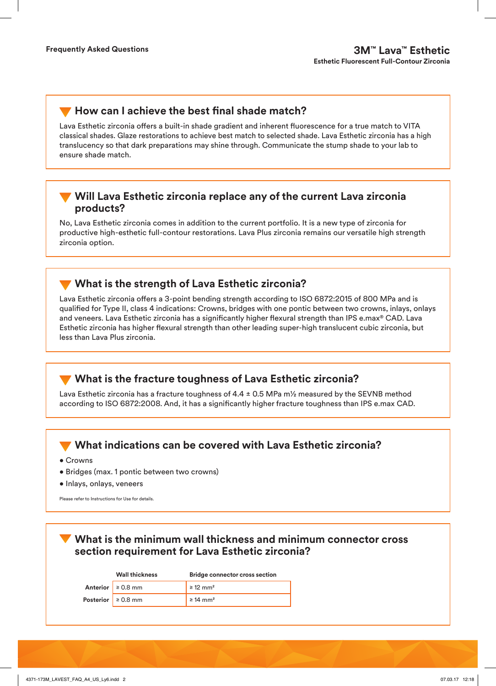## **How can I achieve the best final shade match?**

Lava Esthetic zirconia offers a built-in shade gradient and inherent fluorescence for a true match to VITA classical shades. Glaze restorations to achieve best match to selected shade. Lava Esthetic zirconia has a high translucency so that dark preparations may shine through. Communicate the stump shade to your lab to ensure shade match.

#### **Will Lava Esthetic zirconia replace any of the current Lava zirconia products?**

No, Lava Esthetic zirconia comes in addition to the current portfolio. It is a new type of zirconia for productive high-esthetic full-contour restorations. Lava Plus zirconia remains our versatile high strength zirconia option.

## **What is the strength of Lava Esthetic zirconia?**

Lava Esthetic zirconia offers a 3-point bending strength according to ISO 6872:2015 of 800 MPa and is qualified for Type II, class 4 indications: Crowns, bridges with one pontic between two crowns, inlays, onlays and veneers. Lava Esthetic zirconia has a significantly higher flexural strength than IPS e.max® CAD. Lava Esthetic zirconia has higher flexural strength than other leading super-high translucent cubic zirconia, but less than Lava Plus zirconia.

## **What is the fracture toughness of Lava Esthetic zirconia?**

Lava Esthetic zirconia has a fracture toughness of  $4.4 \pm 0.5$  MPa m<sup>1</sup>/<sub>2</sub> measured by the SEVNB method according to ISO 6872:2008. And, it has a significantly higher fracture toughness than IPS e.max CAD.

## **What indications can be covered with Lava Esthetic zirconia?**

- Crowns
- Bridges (max. 1 pontic between two crowns)
- Inlays, onlays, veneers

Please refer to Instructions for Use for details.

**What is the minimum wall thickness and minimum connector cross section requirement for Lava Esthetic zirconia?**

|                         | <b>Wall thickness</b>  | <b>Bridge connector cross section</b> |  |
|-------------------------|------------------------|---------------------------------------|--|
|                         | Anterior $\geq 0.8$ mm | $\geq 12$ mm <sup>2</sup>             |  |
| Posterior $\geq 0.8$ mm |                        | $\geq 14$ mm <sup>2</sup>             |  |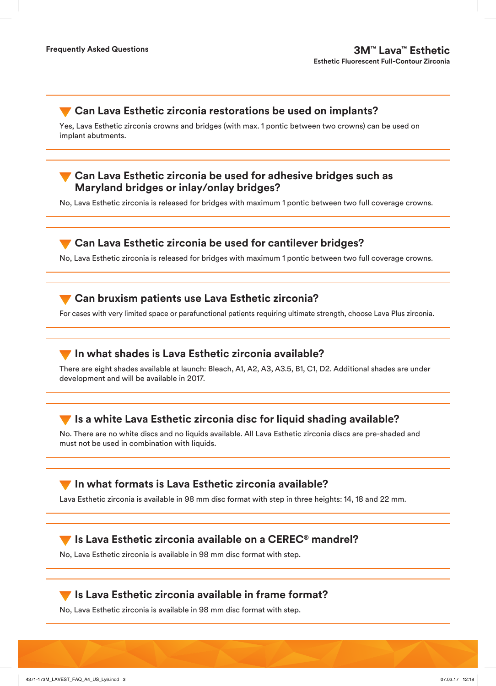# **Can Lava Esthetic zirconia restorations be used on implants?**

Yes, Lava Esthetic zirconia crowns and bridges (with max. 1 pontic between two crowns) can be used on implant abutments.

## **Can Lava Esthetic zirconia be used for adhesive bridges such as Maryland bridges or inlay/onlay bridges?**

No, Lava Esthetic zirconia is released for bridges with maximum 1 pontic between two full coverage crowns.

#### **Can Lava Esthetic zirconia be used for cantilever bridges?**

No, Lava Esthetic zirconia is released for bridges with maximum 1 pontic between two full coverage crowns.

## **Can bruxism patients use Lava Esthetic zirconia?**

For cases with very limited space or parafunctional patients requiring ultimate strength, choose Lava Plus zirconia.

#### **In what shades is Lava Esthetic zirconia available?**

There are eight shades available at launch: Bleach, A1, A2, A3, A3.5, B1, C1, D2. Additional shades are under development and will be available in 2017.

## **Is a white Lava Esthetic zirconia disc for liquid shading available?**

No. There are no white discs and no liquids available. All Lava Esthetic zirconia discs are pre-shaded and must not be used in combination with liquids.

#### **In what formats is Lava Esthetic zirconia available?**

Lava Esthetic zirconia is available in 98 mm disc format with step in three heights: 14, 18 and 22 mm.

#### **Is Lava Esthetic zirconia available on a CEREC® mandrel?**

No, Lava Esthetic zirconia is available in 98 mm disc format with step.

#### **Is Lava Esthetic zirconia available in frame format?**

No, Lava Esthetic zirconia is available in 98 mm disc format with step.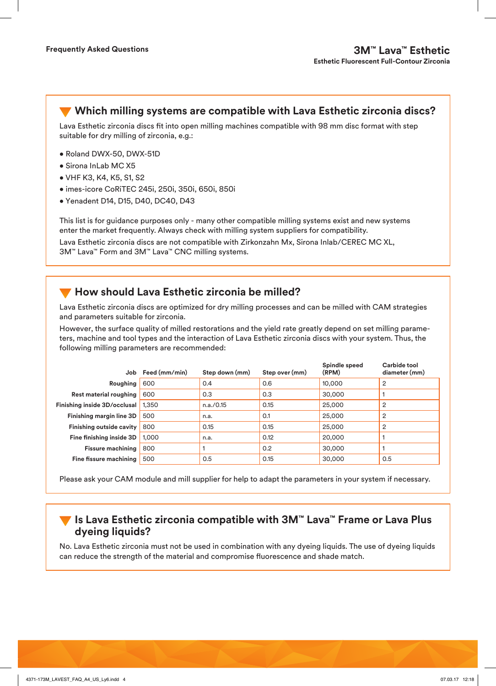**Which milling systems are compatible with Lava Esthetic zirconia discs?** 

Lava Esthetic zirconia discs fit into open milling machines compatible with 98 mm disc format with step suitable for dry milling of zirconia, e.g.:

- Roland DWX-50, DWX-51D
- Sirona InLab MC X5
- VHF K3, K4, K5, S1, S2
- imes-icore CoRiTEC 245i, 250i, 350i, 650i, 850i
- Yenadent D14, D15, D40, DC40, D43

This list is for guidance purposes only - many other compatible milling systems exist and new systems enter the market frequently. Always check with milling system suppliers for compatibility.

Lava Esthetic zirconia discs are not compatible with Zirkonzahn Mx, Sirona Inlab/CEREC MC XL, 3M™ Lava™ Form and 3M™ Lava™ CNC milling systems.

## **How should Lava Esthetic zirconia be milled?**

Lava Esthetic zirconia discs are optimized for dry milling processes and can be milled with CAM strategies and parameters suitable for zirconia.

However, the surface quality of milled restorations and the yield rate greatly depend on set milling parameters, machine and tool types and the interaction of Lava Esthetic zirconia discs with your system. Thus, the following milling parameters are recommended:

| Job                             | Feed (mm/min) | Step down (mm) | Step over (mm) | Spindle speed<br>(RPM) | Carbide tool<br>diameter (mm) |
|---------------------------------|---------------|----------------|----------------|------------------------|-------------------------------|
| Roughing                        | 600           | 0.4            | 0.6            | 10,000                 | 2                             |
| Rest material roughing          | 600           | 0.3            | 0.3            | 30,000                 |                               |
| Finishing inside 3D/occlusal    | 1.350         | n.a./0.15      | 0.15           | 25,000                 | 2                             |
| Finishing margin line 3D        | 500           | n.a.           | 0.1            | 25,000                 | $\overline{2}$                |
| <b>Finishing outside cavity</b> | 800           | 0.15           | 0.15           | 25,000                 | 2                             |
| Fine finishing inside 3D        | 1.000         | n.a.           | 0.12           | 20,000                 |                               |
| <b>Fissure machining</b>        | 800           |                | 0.2            | 30,000                 |                               |
| Fine fissure machining          | 500           | 0.5            | 0.15           | 30,000                 | 0.5                           |

Please ask your CAM module and mill supplier for help to adapt the parameters in your system if necessary.

#### **Is Lava Esthetic zirconia compatible with 3M™ Lava™ Frame or Lava Plus dyeing liquids?**

No. Lava Esthetic zirconia must not be used in combination with any dyeing liquids. The use of dyeing liquids can reduce the strength of the material and compromise fluorescence and shade match.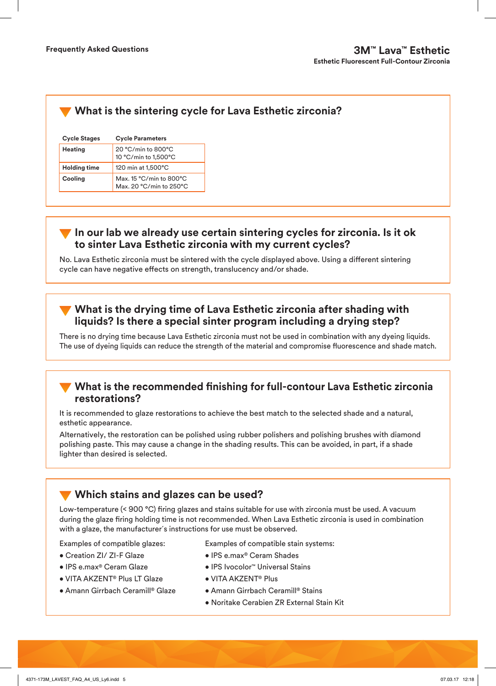# **What is the sintering cycle for Lava Esthetic zirconia?**

| <b>Cycle Stages</b> | <b>Cycle Parameters</b>                            |  |  |
|---------------------|----------------------------------------------------|--|--|
| <b>Heating</b>      | 20 °C/min to 800°C<br>10 °C/min to 1,500°C         |  |  |
| <b>Holding time</b> | 120 min at 1,500°C                                 |  |  |
| Cooling             | Max. 15 °C/min to 800°C<br>Max. 20 °C/min to 250°C |  |  |

#### **In our lab we already use certain sintering cycles for zirconia. Is it ok to sinter Lava Esthetic zirconia with my current cycles?**

No. Lava Esthetic zirconia must be sintered with the cycle displayed above. Using a different sintering cycle can have negative effects on strength, translucency and/or shade.

## **What is the drying time of Lava Esthetic zirconia after shading with liquids? Is there a special sinter program including a drying step?**

There is no drying time because Lava Esthetic zirconia must not be used in combination with any dyeing liquids. The use of dyeing liquids can reduce the strength of the material and compromise fluorescence and shade match.

#### **What is the recommended finishing for full-contour Lava Esthetic zirconia restorations?**

It is recommended to glaze restorations to achieve the best match to the selected shade and a natural, esthetic appearance.

Alternatively, the restoration can be polished using rubber polishers and polishing brushes with diamond polishing paste. This may cause a change in the shading results. This can be avoided, in part, if a shade lighter than desired is selected.

# **Which stains and glazes can be used?**

Low-temperature (< 900 °C) firing glazes and stains suitable for use with zirconia must be used. A vacuum during the glaze firing holding time is not recommended. When Lava Esthetic zirconia is used in combination with a glaze, the manufacturer´s instructions for use must be observed.

Examples of compatible glazes:

- Creation ZI/ ZI-F Glaze
- IPS e.max® Ceram Glaze
- VITA AKZENT® Plus LT Glaze
- Amann Girrbach Ceramill® Glaze

Examples of compatible stain systems:

- IPS e.max® Ceram Shades
- IPS Ivocolor™ Universal Stains
- VITA AKZENT® Plus
- Amann Girrbach Ceramill® Stains
- Noritake Cerabien ZR External Stain Kit